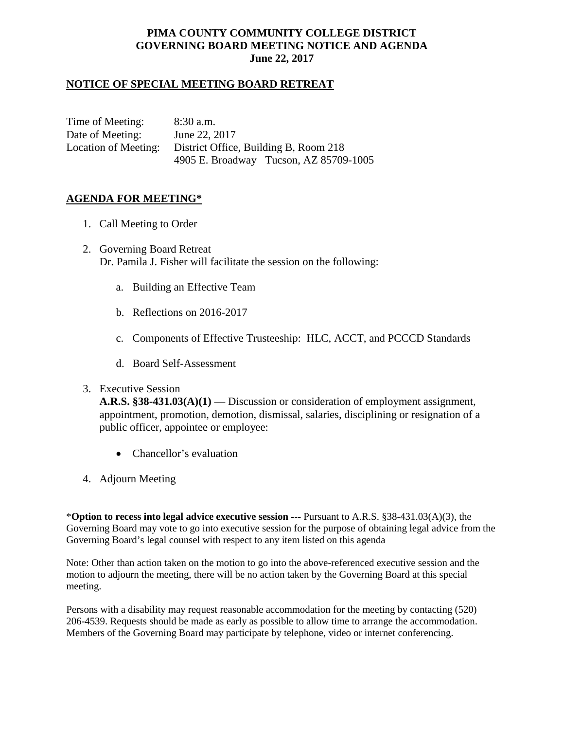# **PIMA COUNTY COMMUNITY COLLEGE DISTRICT GOVERNING BOARD MEETING NOTICE AND AGENDA June 22, 2017**

## **NOTICE OF SPECIAL MEETING BOARD RETREAT**

Time of Meeting: 8:30 a.m. Date of Meeting: June 22, 2017 Location of Meeting: District Office, Building B, Room 218 4905 E. Broadway Tucson, AZ 85709-1005

### **AGENDA FOR MEETING\***

- 1. Call Meeting to Order
- 2. Governing Board Retreat Dr. Pamila J. Fisher will facilitate the session on the following:
	- a. Building an Effective Team
	- b. Reflections on 2016-2017
	- c. Components of Effective Trusteeship: HLC, ACCT, and PCCCD Standards
	- d. Board Self-Assessment
- 3. Executive Session

**A.R.S. §38-431.03(A)(1)** — Discussion or consideration of employment assignment, appointment, promotion, demotion, dismissal, salaries, disciplining or resignation of a public officer, appointee or employee:

- Chancellor's evaluation
- 4. Adjourn Meeting

\***Option to recess into legal advice executive session ---** Pursuant to A.R.S. §38-431.03(A)(3), the Governing Board may vote to go into executive session for the purpose of obtaining legal advice from the Governing Board's legal counsel with respect to any item listed on this agenda

Note: Other than action taken on the motion to go into the above-referenced executive session and the motion to adjourn the meeting, there will be no action taken by the Governing Board at this special meeting.

Persons with a disability may request reasonable accommodation for the meeting by contacting (520) 206-4539. Requests should be made as early as possible to allow time to arrange the accommodation. Members of the Governing Board may participate by telephone, video or internet conferencing.